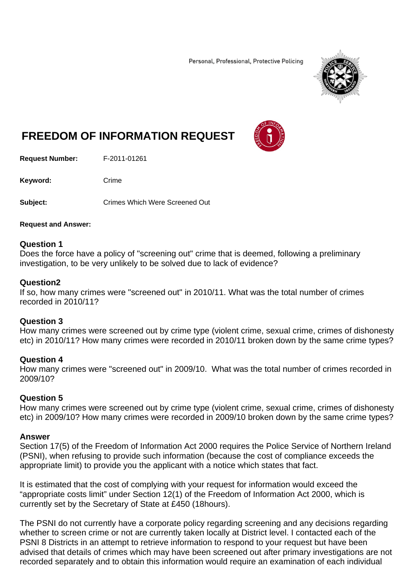Personal, Professional, Protective Policing



# **FREEDOM OF INFORMATION REQUEST**

**Request Number:** F-2011-01261

Keyword: Crime

**Subject:** Crimes Which Were Screened Out

#### **Request and Answer:**

#### **Question 1**

Does the force have a policy of "screening out" crime that is deemed, following a preliminary investigation, to be very unlikely to be solved due to lack of evidence?

## **Question2**

If so, how many crimes were "screened out" in 2010/11. What was the total number of crimes recorded in 2010/11?

## **Question 3**

How many crimes were screened out by crime type (violent crime, sexual crime, crimes of dishonesty etc) in 2010/11? How many crimes were recorded in 2010/11 broken down by the same crime types?

## **Question 4**

How many crimes were "screened out" in 2009/10. What was the total number of crimes recorded in 2009/10?

## **Question 5**

How many crimes were screened out by crime type (violent crime, sexual crime, crimes of dishonesty etc) in 2009/10? How many crimes were recorded in 2009/10 broken down by the same crime types?

## **Answer**

Section 17(5) of the Freedom of Information Act 2000 requires the Police Service of Northern Ireland (PSNI), when refusing to provide such information (because the cost of compliance exceeds the appropriate limit) to provide you the applicant with a notice which states that fact.

It is estimated that the cost of complying with your request for information would exceed the "appropriate costs limit" under Section 12(1) of the Freedom of Information Act 2000, which is currently set by the Secretary of State at £450 (18hours).

The PSNI do not currently have a corporate policy regarding screening and any decisions regarding whether to screen crime or not are currently taken locally at District level. I contacted each of the PSNI 8 Districts in an attempt to retrieve information to respond to your request but have been advised that details of crimes which may have been screened out after primary investigations are not recorded separately and to obtain this information would require an examination of each individual